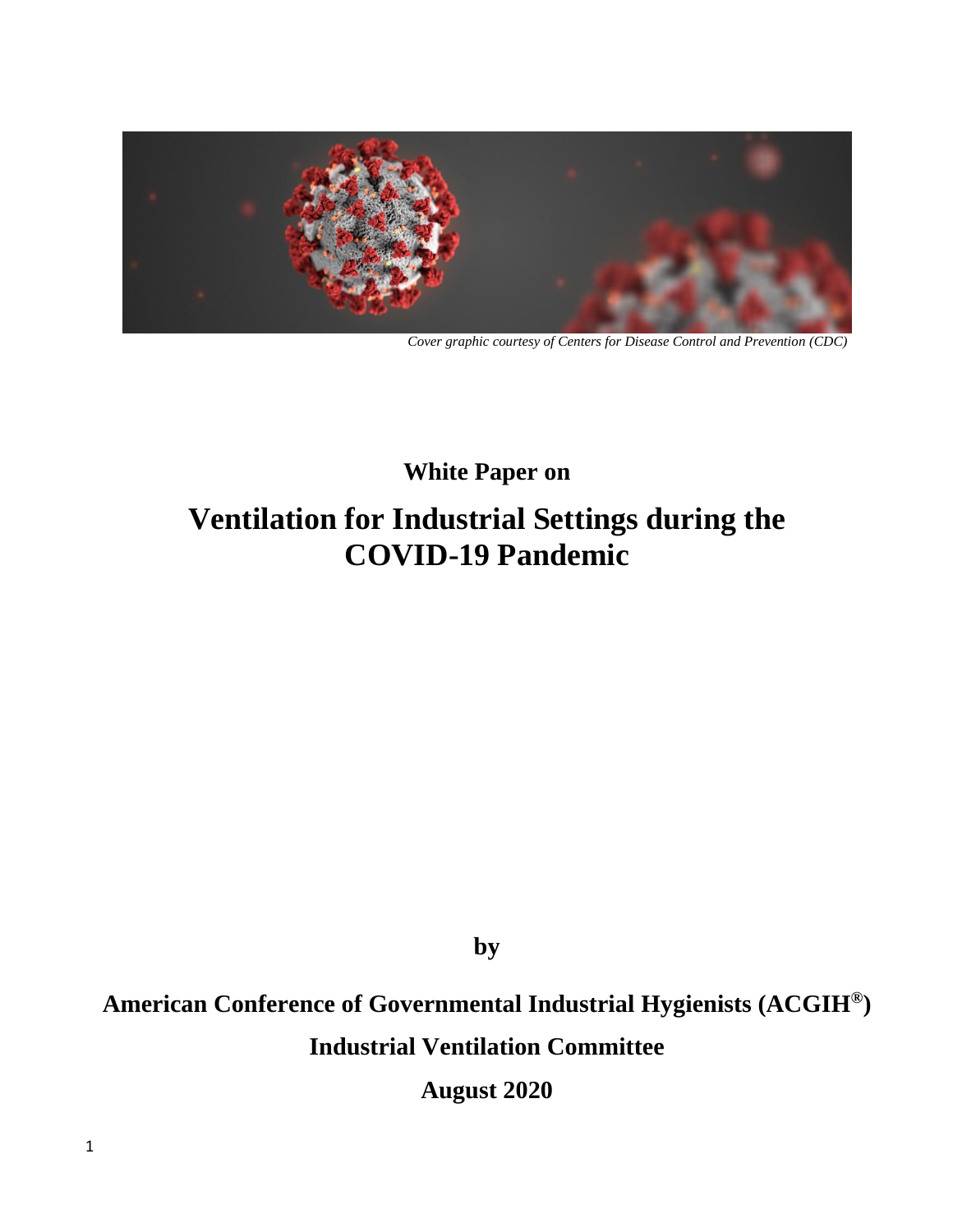

*Cover graphic courtesy of Centers for Disease Control and Prevention (CDC)*

## **White Paper on**

# **Ventilation for Industrial Settings during the COVID-19 Pandemic**

**by**

## **American Conference of Governmental Industrial Hygienists (ACGIH® ) Industrial Ventilation Committee**

**August 2020**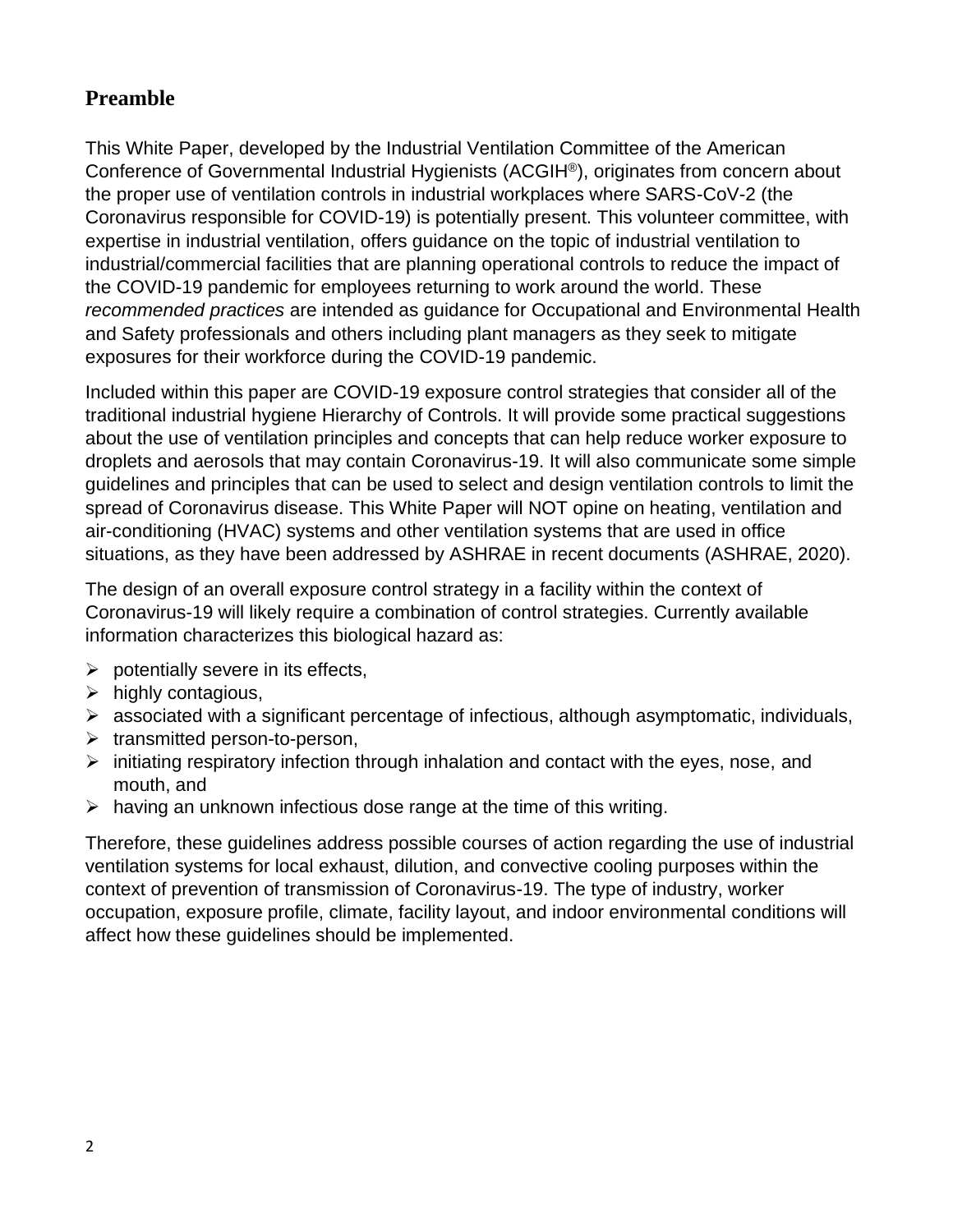## **Preamble**

This White Paper, developed by the Industrial Ventilation Committee of the American Conference of Governmental Industrial Hygienists (ACGIH®), originates from concern about the proper use of ventilation controls in industrial workplaces where SARS-CoV-2 (the Coronavirus responsible for COVID-19) is potentially present. This volunteer committee, with expertise in industrial ventilation, offers guidance on the topic of industrial ventilation to industrial/commercial facilities that are planning operational controls to reduce the impact of the COVID-19 pandemic for employees returning to work around the world. These *recommended practices* are intended as guidance for Occupational and Environmental Health and Safety professionals and others including plant managers as they seek to mitigate exposures for their workforce during the COVID-19 pandemic.

Included within this paper are COVID-19 exposure control strategies that consider all of the traditional industrial hygiene Hierarchy of Controls. It will provide some practical suggestions about the use of ventilation principles and concepts that can help reduce worker exposure to droplets and aerosols that may contain Coronavirus-19. It will also communicate some simple guidelines and principles that can be used to select and design ventilation controls to limit the spread of Coronavirus disease. This White Paper will NOT opine on heating, ventilation and air-conditioning (HVAC) systems and other ventilation systems that are used in office situations, as they have been addressed by ASHRAE in recent documents (ASHRAE, 2020).

The design of an overall exposure control strategy in a facility within the context of Coronavirus-19 will likely require a combination of control strategies. Currently available information characterizes this biological hazard as:

- $\triangleright$  potentially severe in its effects,
- $\triangleright$  highly contagious,
- $\triangleright$  associated with a significant percentage of infectious, although asymptomatic, individuals,
- $\triangleright$  transmitted person-to-person,
- $\triangleright$  initiating respiratory infection through inhalation and contact with the eyes, nose, and mouth, and
- $\triangleright$  having an unknown infectious dose range at the time of this writing.

Therefore, these guidelines address possible courses of action regarding the use of industrial ventilation systems for local exhaust, dilution, and convective cooling purposes within the context of prevention of transmission of Coronavirus-19. The type of industry, worker occupation, exposure profile, climate, facility layout, and indoor environmental conditions will affect how these guidelines should be implemented.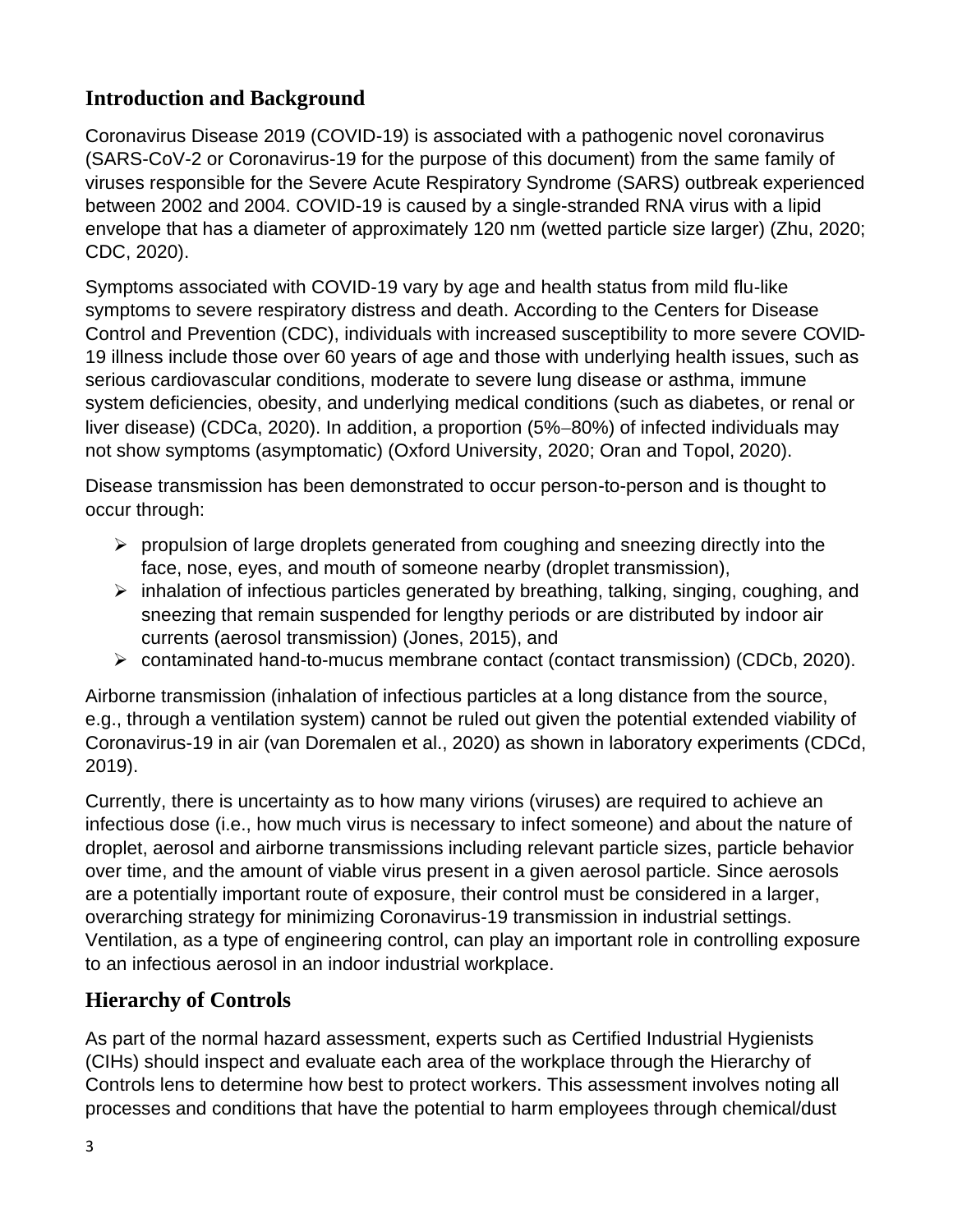## **Introduction and Background**

Coronavirus Disease 2019 (COVID-19) is associated with a pathogenic novel coronavirus (SARS-CoV-2 or Coronavirus-19 for the purpose of this document) from the same family of viruses responsible for the Severe Acute Respiratory Syndrome (SARS) outbreak experienced between 2002 and 2004. COVID-19 is caused by a single-stranded RNA virus with a lipid envelope that has a diameter of approximately 120 nm (wetted particle size larger) (Zhu, 2020; CDC, 2020).

Symptoms associated with COVID-19 vary by age and health status from mild flu-like symptoms to severe respiratory distress and death. According to the Centers for Disease Control and Prevention (CDC), individuals with increased susceptibility to more severe COVID-19 illness include those over 60 years of age and those with underlying health issues, such as serious cardiovascular conditions, moderate to severe lung disease or asthma, immune system deficiencies, obesity, and underlying medical conditions (such as diabetes, or renal or liver disease) (CDCa, 2020). In addition, a proportion (5%−80%) of infected individuals may not show symptoms (asymptomatic) (Oxford University, 2020; Oran and Topol, 2020).

Disease transmission has been demonstrated to occur person-to-person and is thought to occur through:

- $\triangleright$  propulsion of large droplets generated from coughing and sneezing directly into the face, nose, eyes, and mouth of someone nearby (droplet transmission),
- ➢ inhalation of infectious particles generated by breathing, talking, singing, coughing, and sneezing that remain suspended for lengthy periods or are distributed by indoor air currents (aerosol transmission) (Jones, 2015), and
- ➢ contaminated hand-to-mucus membrane contact (contact transmission) (CDCb, 2020).

Airborne transmission (inhalation of infectious particles at a long distance from the source, e.g., through a ventilation system) cannot be ruled out given the potential extended viability of Coronavirus-19 in air (van Doremalen et al., 2020) as shown in laboratory experiments (CDCd, 2019).

Currently, there is uncertainty as to how many virions (viruses) are required to achieve an infectious dose (i.e., how much virus is necessary to infect someone) and about the nature of droplet, aerosol and airborne transmissions including relevant particle sizes, particle behavior over time, and the amount of viable virus present in a given aerosol particle. Since aerosols are a potentially important route of exposure, their control must be considered in a larger, overarching strategy for minimizing Coronavirus-19 transmission in industrial settings. Ventilation, as a type of engineering control, can play an important role in controlling exposure to an infectious aerosol in an indoor industrial workplace.

## **Hierarchy of Controls**

As part of the normal hazard assessment, experts such as Certified Industrial Hygienists (CIHs) should inspect and evaluate each area of the workplace through the Hierarchy of Controls lens to determine how best to protect workers. This assessment involves noting all processes and conditions that have the potential to harm employees through chemical/dust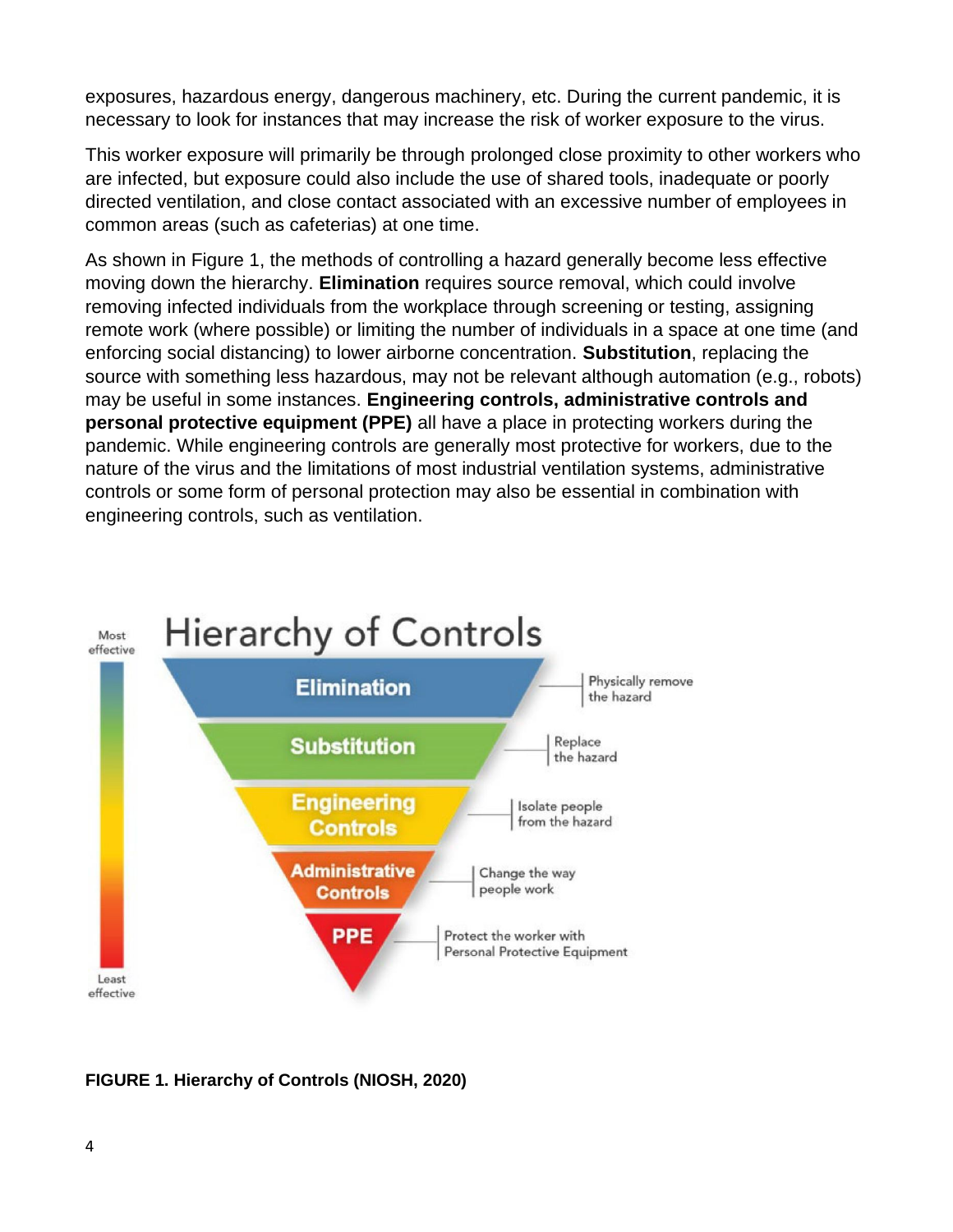exposures, hazardous energy, dangerous machinery, etc. During the current pandemic, it is necessary to look for instances that may increase the risk of worker exposure to the virus.

This worker exposure will primarily be through prolonged close proximity to other workers who are infected, but exposure could also include the use of shared tools, inadequate or poorly directed ventilation, and close contact associated with an excessive number of employees in common areas (such as cafeterias) at one time.

As shown in Figure 1, the methods of controlling a hazard generally become less effective moving down the hierarchy. **Elimination** requires source removal, which could involve removing infected individuals from the workplace through screening or testing, assigning remote work (where possible) or limiting the number of individuals in a space at one time (and enforcing social distancing) to lower airborne concentration. **Substitution**, replacing the source with something less hazardous, may not be relevant although automation (e.g., robots) may be useful in some instances. **Engineering controls, administrative controls and personal protective equipment (PPE)** all have a place in protecting workers during the pandemic. While engineering controls are generally most protective for workers, due to the nature of the virus and the limitations of most industrial ventilation systems, administrative controls or some form of personal protection may also be essential in combination with engineering controls, such as ventilation.



**FIGURE 1. Hierarchy of Controls (NIOSH, 2020)**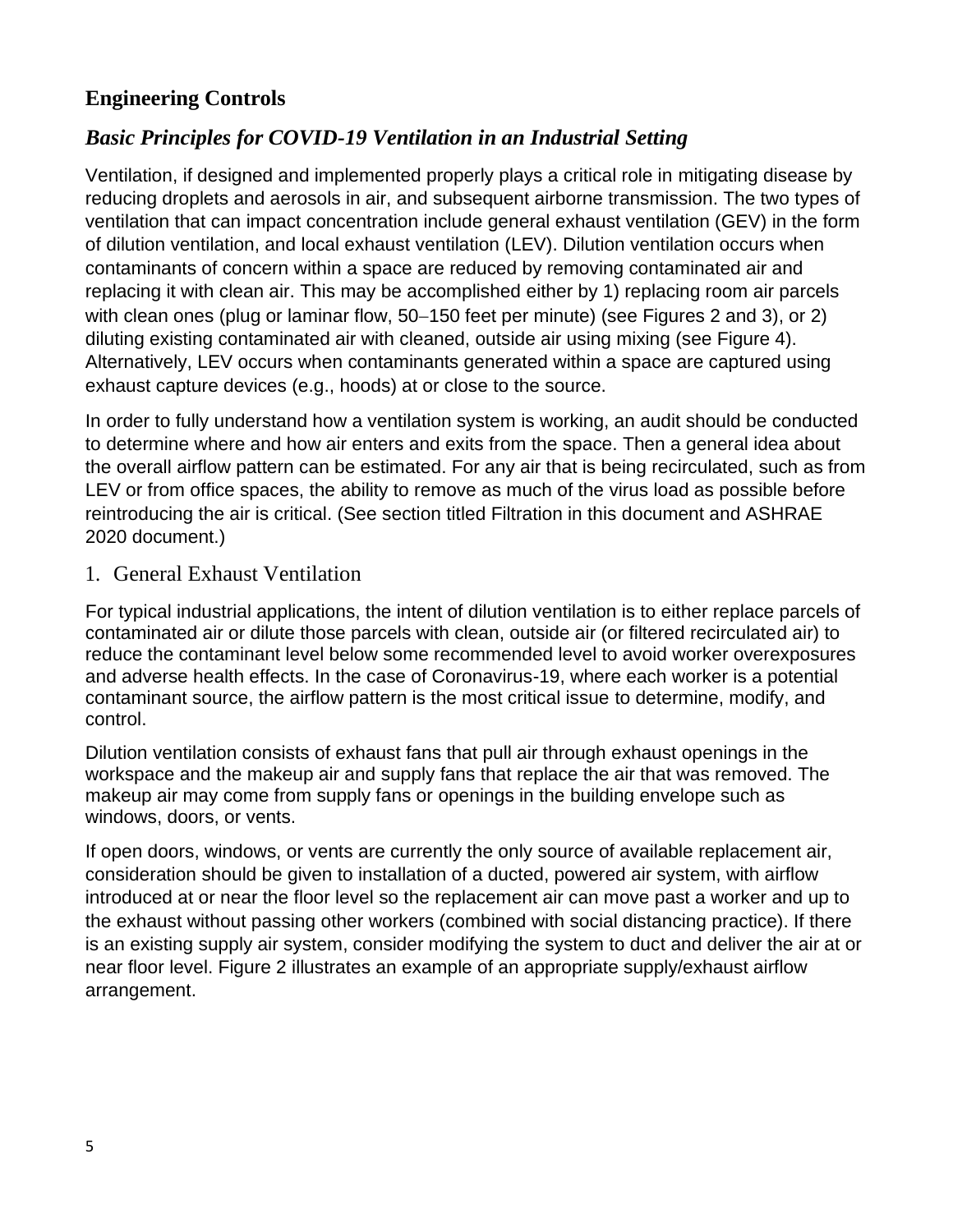## **Engineering Controls**

## *Basic Principles for COVID-19 Ventilation in an Industrial Setting*

Ventilation, if designed and implemented properly plays a critical role in mitigating disease by reducing droplets and aerosols in air, and subsequent airborne transmission. The two types of ventilation that can impact concentration include general exhaust ventilation (GEV) in the form of dilution ventilation, and local exhaust ventilation (LEV). Dilution ventilation occurs when contaminants of concern within a space are reduced by removing contaminated air and replacing it with clean air. This may be accomplished either by 1) replacing room air parcels with clean ones (plug or laminar flow, 50−150 feet per minute) (see Figures 2 and 3), or 2) diluting existing contaminated air with cleaned, outside air using mixing (see Figure 4). Alternatively, LEV occurs when contaminants generated within a space are captured using exhaust capture devices (e.g., hoods) at or close to the source.

In order to fully understand how a ventilation system is working, an audit should be conducted to determine where and how air enters and exits from the space. Then a general idea about the overall airflow pattern can be estimated. For any air that is being recirculated, such as from LEV or from office spaces, the ability to remove as much of the virus load as possible before reintroducing the air is critical. (See section titled Filtration in this document and ASHRAE 2020 document.)

#### 1. General Exhaust Ventilation

For typical industrial applications, the intent of dilution ventilation is to either replace parcels of contaminated air or dilute those parcels with clean, outside air (or filtered recirculated air) to reduce the contaminant level below some recommended level to avoid worker overexposures and adverse health effects. In the case of Coronavirus-19, where each worker is a potential contaminant source, the airflow pattern is the most critical issue to determine, modify, and control.

Dilution ventilation consists of exhaust fans that pull air through exhaust openings in the workspace and the makeup air and supply fans that replace the air that was removed. The makeup air may come from supply fans or openings in the building envelope such as windows, doors, or vents.

If open doors, windows, or vents are currently the only source of available replacement air, consideration should be given to installation of a ducted, powered air system, with airflow introduced at or near the floor level so the replacement air can move past a worker and up to the exhaust without passing other workers (combined with social distancing practice). If there is an existing supply air system, consider modifying the system to duct and deliver the air at or near floor level. Figure 2 illustrates an example of an appropriate supply/exhaust airflow arrangement.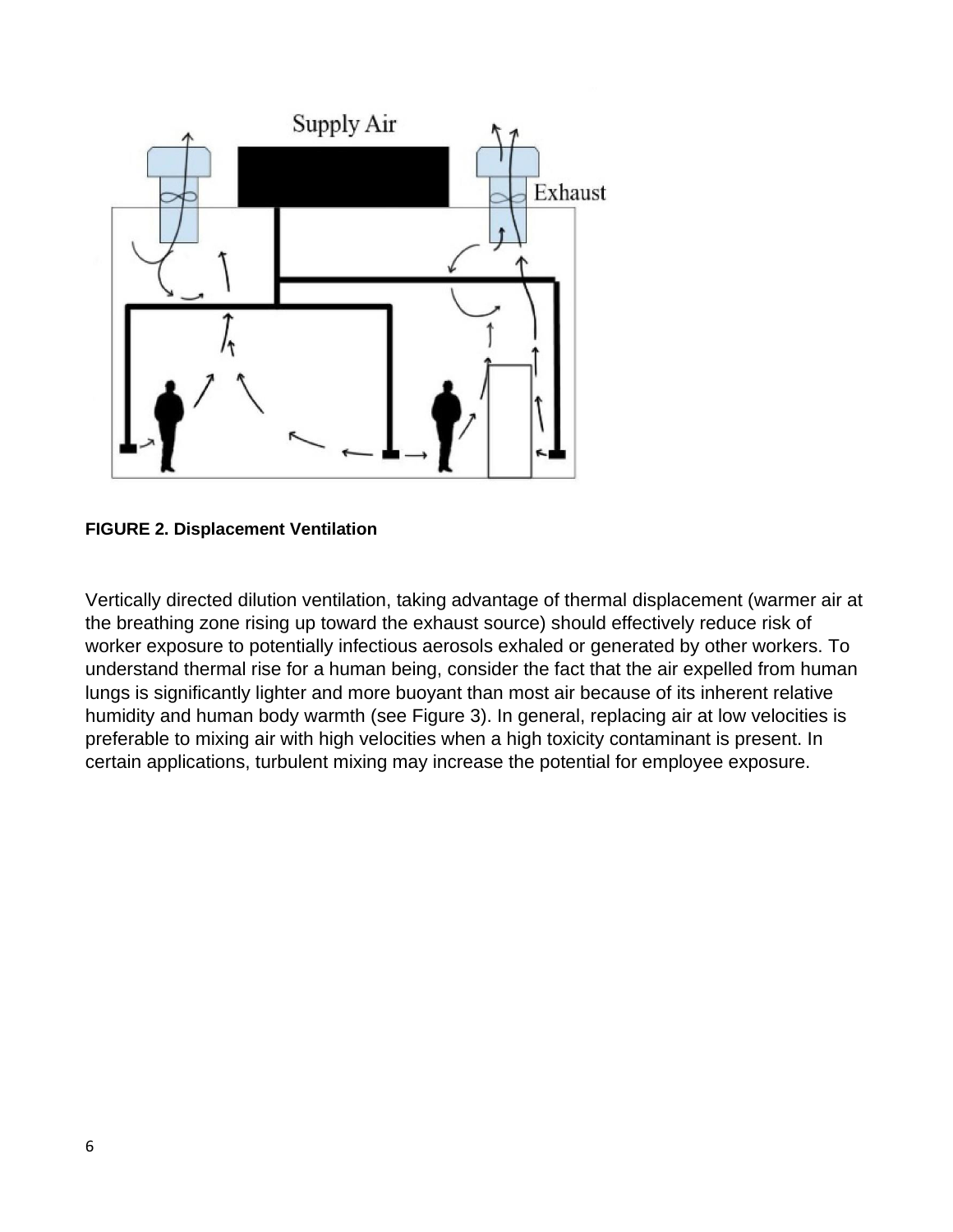

**FIGURE 2. Displacement Ventilation**

Vertically directed dilution ventilation, taking advantage of thermal displacement (warmer air at the breathing zone rising up toward the exhaust source) should effectively reduce risk of worker exposure to potentially infectious aerosols exhaled or generated by other workers. To understand thermal rise for a human being, consider the fact that the air expelled from human lungs is significantly lighter and more buoyant than most air because of its inherent relative humidity and human body warmth (see Figure 3). In general, replacing air at low velocities is preferable to mixing air with high velocities when a high toxicity contaminant is present. In certain applications, turbulent mixing may increase the potential for employee exposure.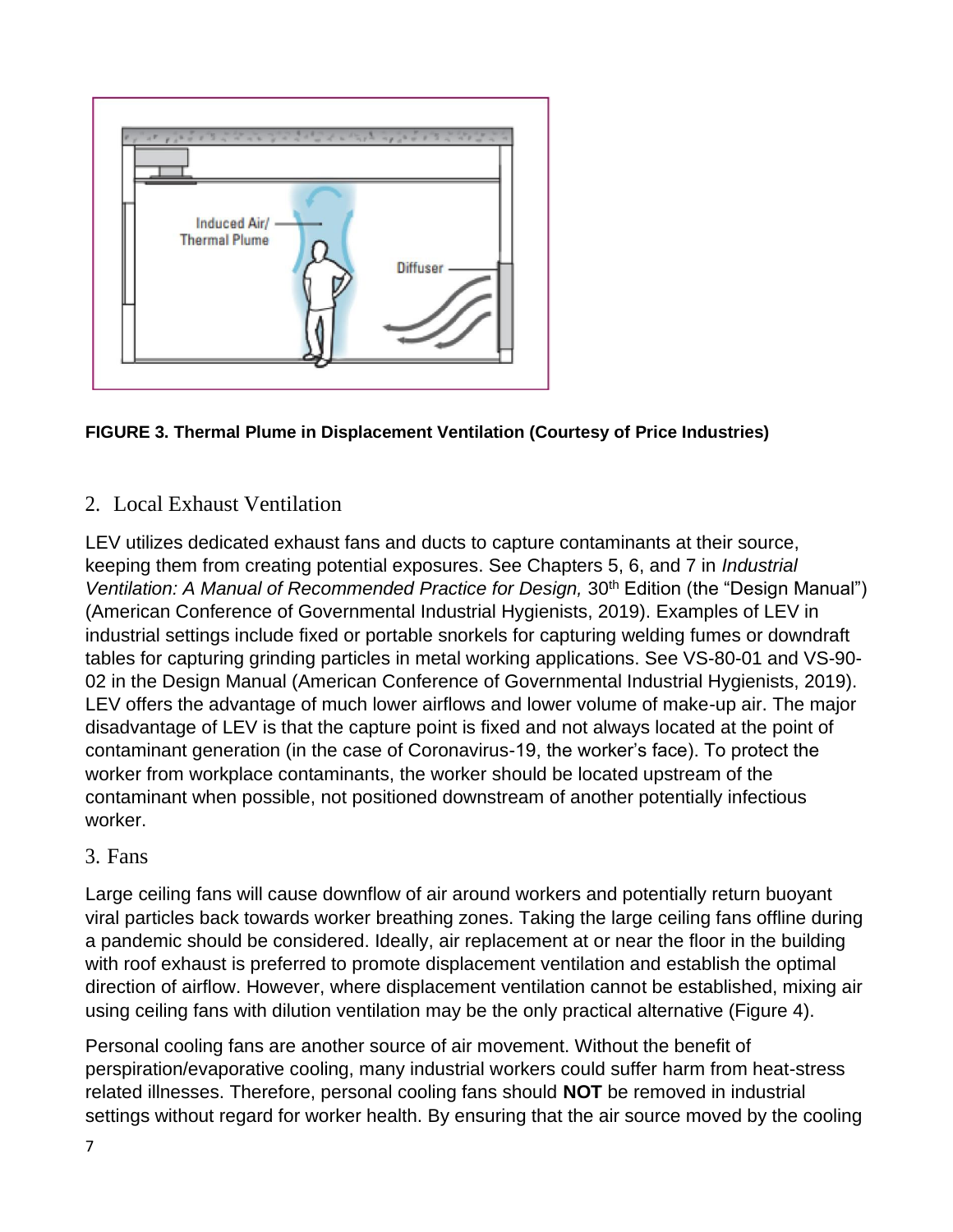

#### **FIGURE 3. Thermal Plume in Displacement Ventilation (Courtesy of Price Industries)**

## 2. Local Exhaust Ventilation

LEV utilizes dedicated exhaust fans and ducts to capture contaminants at their source, keeping them from creating potential exposures. See Chapters 5, 6, and 7 in *Industrial Ventilation: A Manual of Recommended Practice for Design, 30<sup>th</sup> Edition (the "Design Manual")* (American Conference of Governmental Industrial Hygienists, 2019). Examples of LEV in industrial settings include fixed or portable snorkels for capturing welding fumes or downdraft tables for capturing grinding particles in metal working applications. See VS-80-01 and VS-90- 02 in the Design Manual (American Conference of Governmental Industrial Hygienists, 2019). LEV offers the advantage of much lower airflows and lower volume of make-up air. The major disadvantage of LEV is that the capture point is fixed and not always located at the point of contaminant generation (in the case of Coronavirus-19, the worker's face). To protect the worker from workplace contaminants, the worker should be located upstream of the contaminant when possible, not positioned downstream of another potentially infectious worker.

#### 3. Fans

Large ceiling fans will cause downflow of air around workers and potentially return buoyant viral particles back towards worker breathing zones. Taking the large ceiling fans offline during a pandemic should be considered. Ideally, air replacement at or near the floor in the building with roof exhaust is preferred to promote displacement ventilation and establish the optimal direction of airflow. However, where displacement ventilation cannot be established, mixing air using ceiling fans with dilution ventilation may be the only practical alternative (Figure 4).

Personal cooling fans are another source of air movement. Without the benefit of perspiration/evaporative cooling, many industrial workers could suffer harm from heat-stress related illnesses. Therefore, personal cooling fans should **NOT** be removed in industrial settings without regard for worker health. By ensuring that the air source moved by the cooling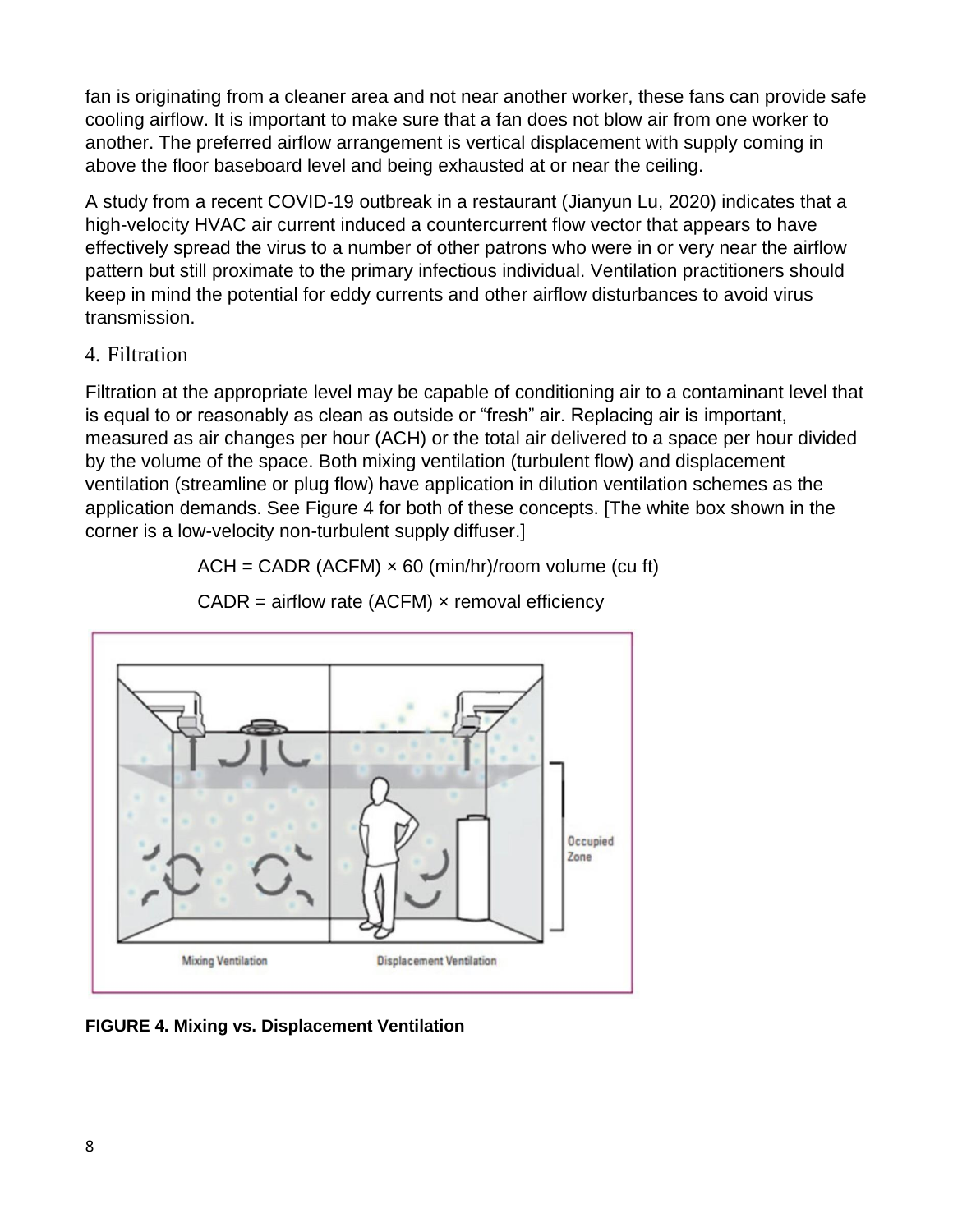fan is originating from a cleaner area and not near another worker, these fans can provide safe cooling airflow. It is important to make sure that a fan does not blow air from one worker to another. The preferred airflow arrangement is vertical displacement with supply coming in above the floor baseboard level and being exhausted at or near the ceiling.

A study from a recent COVID-19 outbreak in a restaurant (Jianyun Lu, 2020) indicates that a high-velocity HVAC air current induced a countercurrent flow vector that appears to have effectively spread the virus to a number of other patrons who were in or very near the airflow pattern but still proximate to the primary infectious individual. Ventilation practitioners should keep in mind the potential for eddy currents and other airflow disturbances to avoid virus transmission.

#### 4. Filtration

Filtration at the appropriate level may be capable of conditioning air to a contaminant level that is equal to or reasonably as clean as outside or "fresh" air. Replacing air is important, measured as air changes per hour (ACH) or the total air delivered to a space per hour divided by the volume of the space. Both mixing ventilation (turbulent flow) and displacement ventilation (streamline or plug flow) have application in dilution ventilation schemes as the application demands. See Figure 4 for both of these concepts. [The white box shown in the corner is a low-velocity non-turbulent supply diffuser.]

 $ACH = CADR (ACFM) \times 60 (min/hr)/room volume (cu ft)$ 



 $CADR = airflow rate (ACFM) \times removal efficiency$ 

**FIGURE 4. Mixing vs. Displacement Ventilation**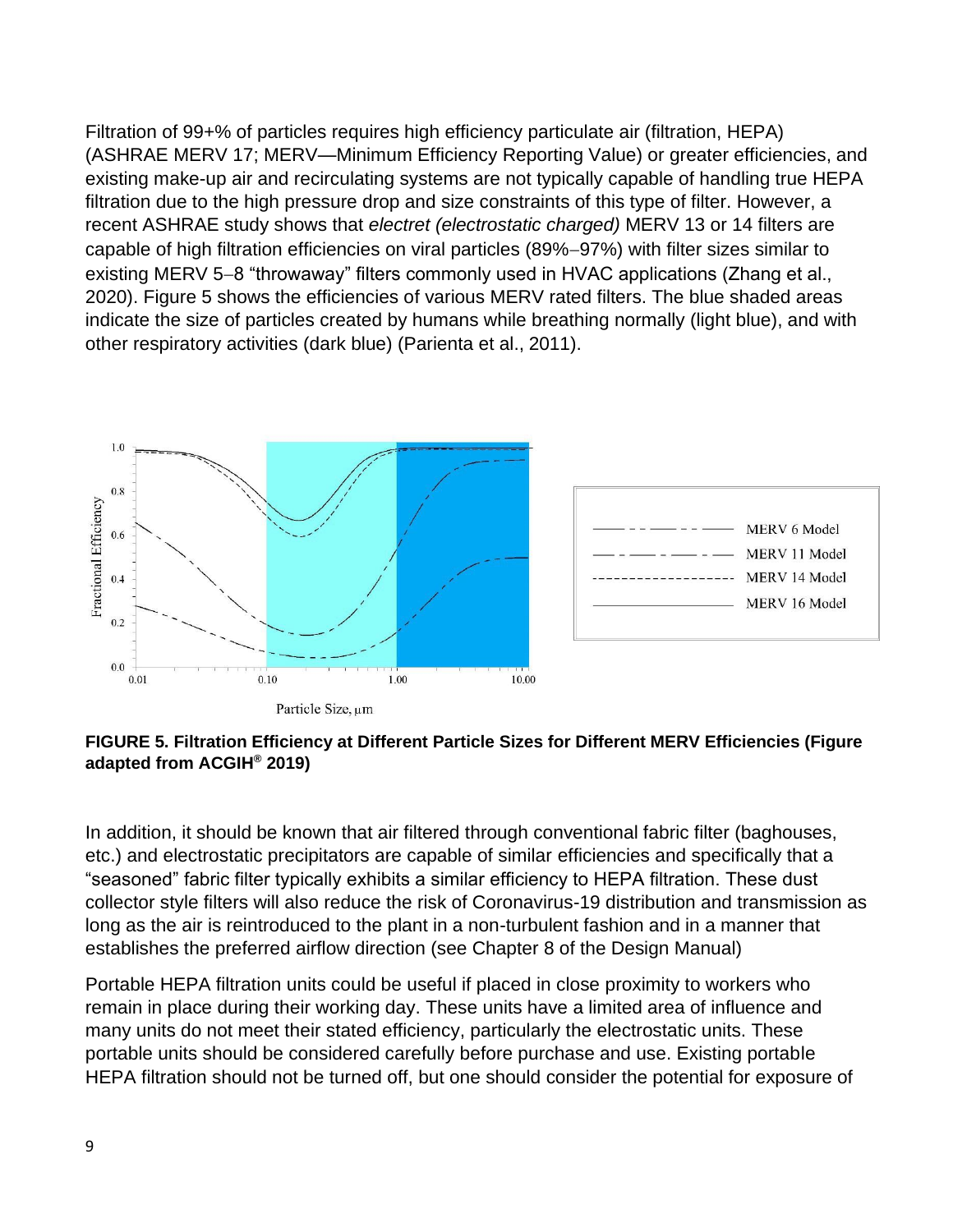Filtration of 99+% of particles requires high efficiency particulate air (filtration, HEPA) (ASHRAE MERV 17; MERV—Minimum Efficiency Reporting Value) or greater efficiencies, and existing make-up air and recirculating systems are not typically capable of handling true HEPA filtration due to the high pressure drop and size constraints of this type of filter. However, a recent ASHRAE study shows that *electret (electrostatic charged)* MERV 13 or 14 filters are capable of high filtration efficiencies on viral particles (89%−97%) with filter sizes similar to existing MERV 5−8 "throwaway" filters commonly used in HVAC applications (Zhang et al., 2020). Figure 5 shows the efficiencies of various MERV rated filters. The blue shaded areas indicate the size of particles created by humans while breathing normally (light blue), and with other respiratory activities (dark blue) (Parienta et al., 2011).





In addition, it should be known that air filtered through conventional fabric filter (baghouses, etc.) and electrostatic precipitators are capable of similar efficiencies and specifically that a "seasoned" fabric filter typically exhibits a similar efficiency to HEPA filtration. These dust collector style filters will also reduce the risk of Coronavirus-19 distribution and transmission as long as the air is reintroduced to the plant in a non-turbulent fashion and in a manner that establishes the preferred airflow direction (see Chapter 8 of the Design Manual)

Portable HEPA filtration units could be useful if placed in close proximity to workers who remain in place during their working day. These units have a limited area of influence and many units do not meet their stated efficiency, particularly the electrostatic units. These portable units should be considered carefully before purchase and use. Existing portable HEPA filtration should not be turned off, but one should consider the potential for exposure of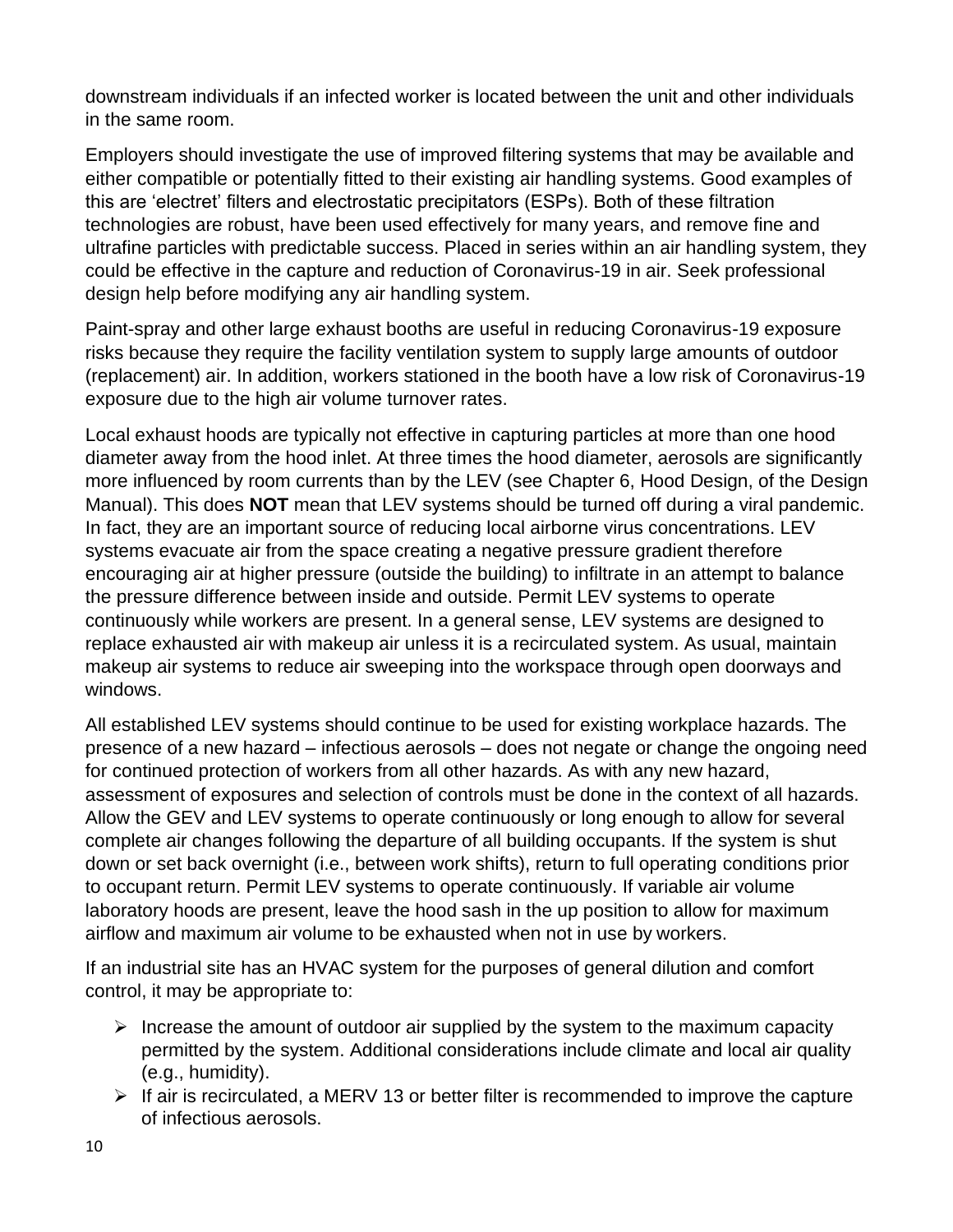downstream individuals if an infected worker is located between the unit and other individuals in the same room.

Employers should investigate the use of improved filtering systems that may be available and either compatible or potentially fitted to their existing air handling systems. Good examples of this are 'electret' filters and electrostatic precipitators (ESPs). Both of these filtration technologies are robust, have been used effectively for many years, and remove fine and ultrafine particles with predictable success. Placed in series within an air handling system, they could be effective in the capture and reduction of Coronavirus-19 in air. Seek professional design help before modifying any air handling system.

Paint-spray and other large exhaust booths are useful in reducing Coronavirus-19 exposure risks because they require the facility ventilation system to supply large amounts of outdoor (replacement) air. In addition, workers stationed in the booth have a low risk of Coronavirus-19 exposure due to the high air volume turnover rates.

Local exhaust hoods are typically not effective in capturing particles at more than one hood diameter away from the hood inlet. At three times the hood diameter, aerosols are significantly more influenced by room currents than by the LEV (see Chapter 6, Hood Design, of the Design Manual). This does **NOT** mean that LEV systems should be turned off during a viral pandemic. In fact, they are an important source of reducing local airborne virus concentrations. LEV systems evacuate air from the space creating a negative pressure gradient therefore encouraging air at higher pressure (outside the building) to infiltrate in an attempt to balance the pressure difference between inside and outside. Permit LEV systems to operate continuously while workers are present. In a general sense, LEV systems are designed to replace exhausted air with makeup air unless it is a recirculated system. As usual, maintain makeup air systems to reduce air sweeping into the workspace through open doorways and windows.

All established LEV systems should continue to be used for existing workplace hazards. The presence of a new hazard – infectious aerosols – does not negate or change the ongoing need for continued protection of workers from all other hazards. As with any new hazard, assessment of exposures and selection of controls must be done in the context of all hazards. Allow the GEV and LEV systems to operate continuously or long enough to allow for several complete air changes following the departure of all building occupants. If the system is shut down or set back overnight (i.e., between work shifts), return to full operating conditions prior to occupant return. Permit LEV systems to operate continuously. If variable air volume laboratory hoods are present, leave the hood sash in the up position to allow for maximum airflow and maximum air volume to be exhausted when not in use by workers.

If an industrial site has an HVAC system for the purposes of general dilution and comfort control, it may be appropriate to:

- $\triangleright$  Increase the amount of outdoor air supplied by the system to the maximum capacity permitted by the system. Additional considerations include climate and local air quality (e.g., humidity).
- $\triangleright$  If air is recirculated, a MERV 13 or better filter is recommended to improve the capture of infectious aerosols.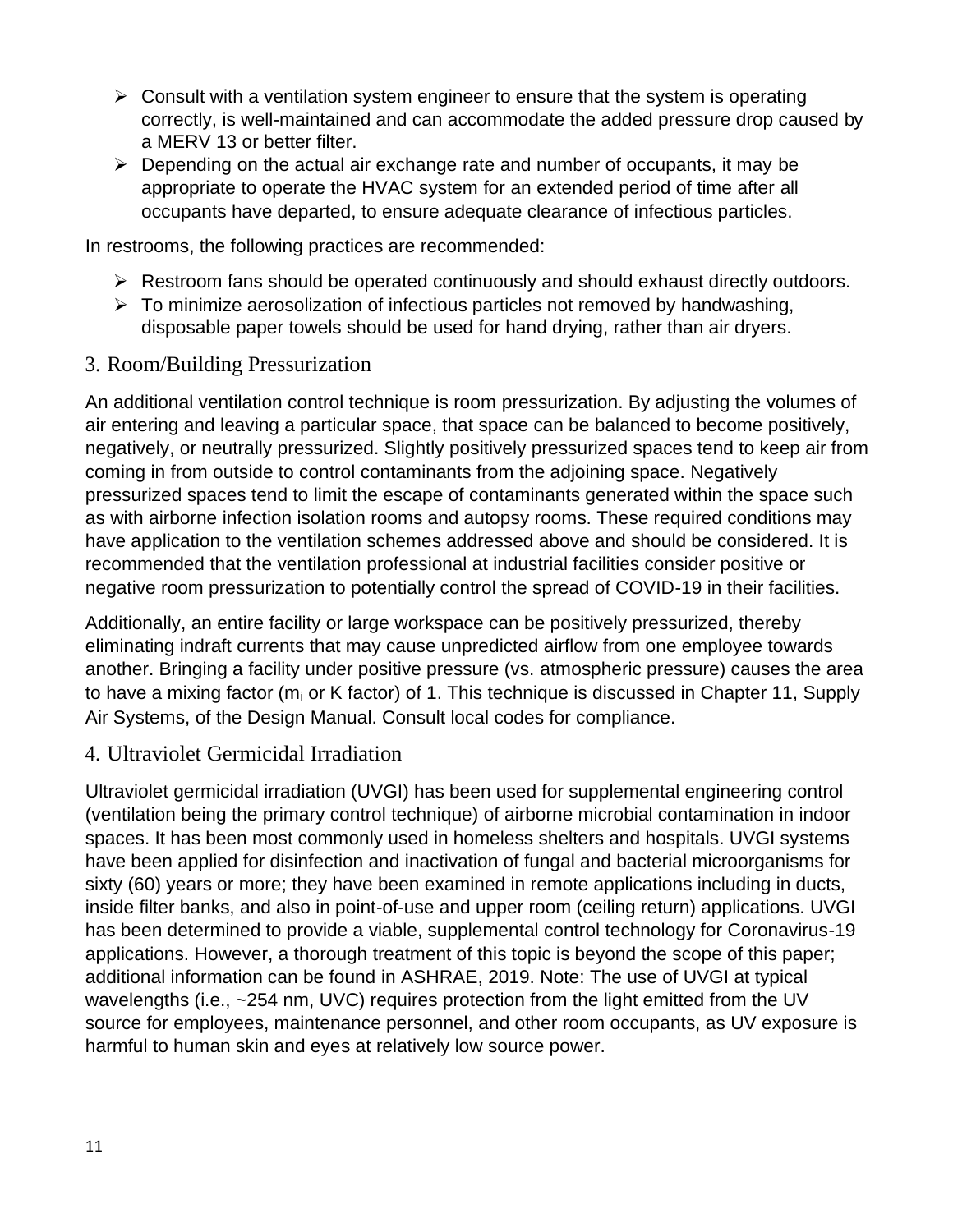- $\triangleright$  Consult with a ventilation system engineer to ensure that the system is operating correctly, is well-maintained and can accommodate the added pressure drop caused by a MERV 13 or better filter.
- $\triangleright$  Depending on the actual air exchange rate and number of occupants, it may be appropriate to operate the HVAC system for an extended period of time after all occupants have departed, to ensure adequate clearance of infectious particles.

In restrooms, the following practices are recommended:

- ➢ Restroom fans should be operated continuously and should exhaust directly outdoors.
- $\triangleright$  To minimize aerosolization of infectious particles not removed by handwashing, disposable paper towels should be used for hand drying, rather than air dryers.

#### 3. Room/Building Pressurization

An additional ventilation control technique is room pressurization. By adjusting the volumes of air entering and leaving a particular space, that space can be balanced to become positively, negatively, or neutrally pressurized. Slightly positively pressurized spaces tend to keep air from coming in from outside to control contaminants from the adjoining space. Negatively pressurized spaces tend to limit the escape of contaminants generated within the space such as with airborne infection isolation rooms and autopsy rooms. These required conditions may have application to the ventilation schemes addressed above and should be considered. It is recommended that the ventilation professional at industrial facilities consider positive or negative room pressurization to potentially control the spread of COVID-19 in their facilities.

Additionally, an entire facility or large workspace can be positively pressurized, thereby eliminating indraft currents that may cause unpredicted airflow from one employee towards another. Bringing a facility under positive pressure (vs. atmospheric pressure) causes the area to have a mixing factor ( $m_i$  or K factor) of 1. This technique is discussed in Chapter 11, Supply Air Systems, of the Design Manual. Consult local codes for compliance.

#### 4. Ultraviolet Germicidal Irradiation

Ultraviolet germicidal irradiation (UVGI) has been used for supplemental engineering control (ventilation being the primary control technique) of airborne microbial contamination in indoor spaces. It has been most commonly used in homeless shelters and hospitals. UVGI systems have been applied for disinfection and inactivation of fungal and bacterial microorganisms for sixty (60) years or more; they have been examined in remote applications including in ducts, inside filter banks, and also in point-of-use and upper room (ceiling return) applications. UVGI has been determined to provide a viable, supplemental control technology for Coronavirus-19 applications. However, a thorough treatment of this topic is beyond the scope of this paper; additional information can be found in ASHRAE, 2019. Note: The use of UVGI at typical wavelengths (i.e., ~254 nm, UVC) requires protection from the light emitted from the UV source for employees, maintenance personnel, and other room occupants, as UV exposure is harmful to human skin and eyes at relatively low source power.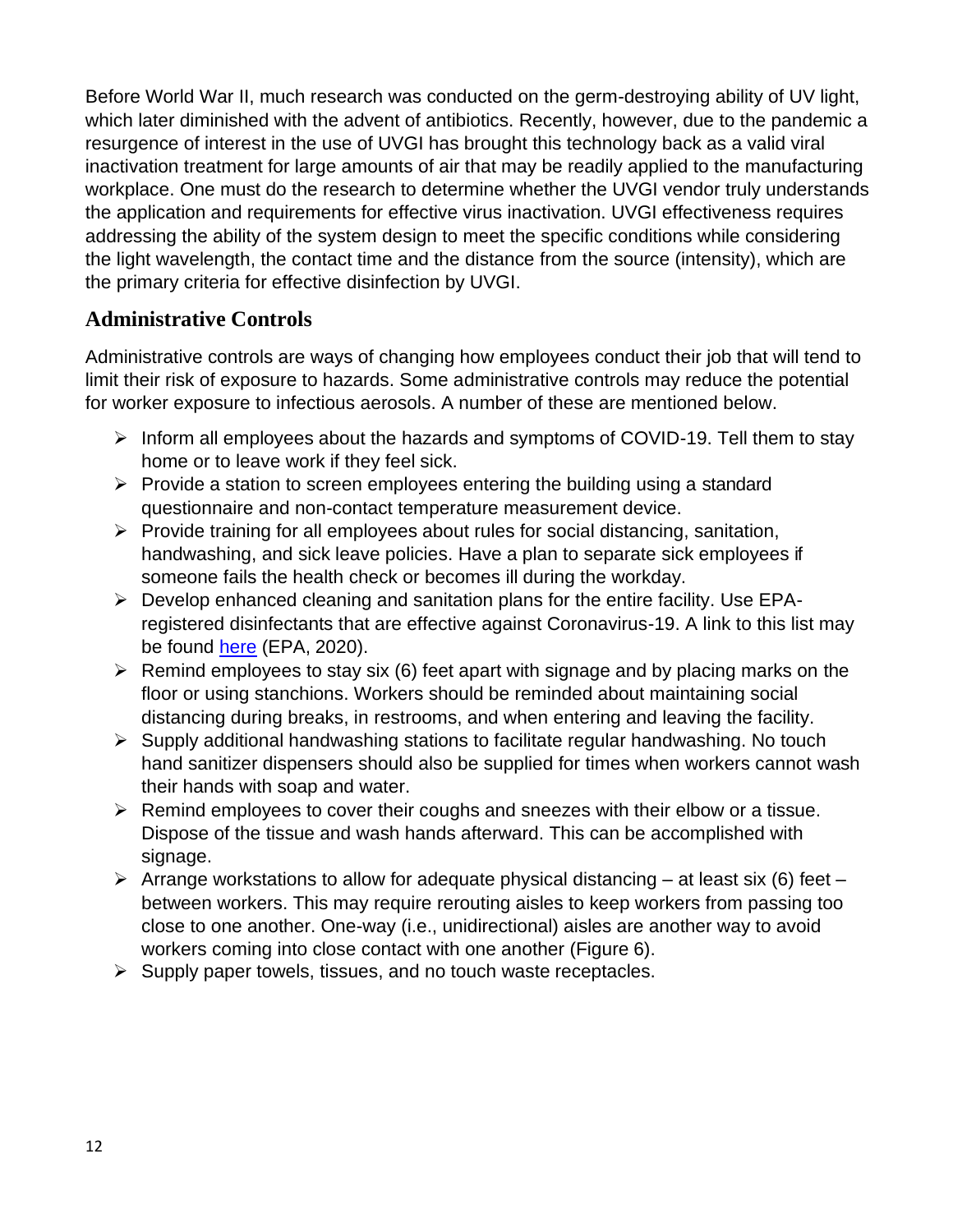Before World War II, much research was conducted on the germ-destroying ability of UV light, which later diminished with the advent of antibiotics. Recently, however, due to the pandemic a resurgence of interest in the use of UVGI has brought this technology back as a valid viral inactivation treatment for large amounts of air that may be readily applied to the manufacturing workplace. One must do the research to determine whether the UVGI vendor truly understands the application and requirements for effective virus inactivation. UVGI effectiveness requires addressing the ability of the system design to meet the specific conditions while considering the light wavelength, the contact time and the distance from the source (intensity), which are the primary criteria for effective disinfection by UVGI.

## **Administrative Controls**

Administrative controls are ways of changing how employees conduct their job that will tend to limit their risk of exposure to hazards. Some administrative controls may reduce the potential for worker exposure to infectious aerosols. A number of these are mentioned below.

- ➢ Inform all employees about the hazards and symptoms of COVID-19. Tell them to stay home or to leave work if they feel sick.
- ➢ Provide a station to screen employees entering the building using a standard questionnaire and non-contact temperature measurement device.
- ➢ Provide training for all employees about rules for social distancing, sanitation, handwashing, and sick leave policies. Have a plan to separate sick employees if someone fails the health check or becomes ill during the workday.
- ➢ Develop enhanced cleaning and sanitation plans for the entire facility. Use EPAregistered disinfectants that are effective against Coronavirus-19. A link to this list may be found here (EPA, 2020).
- $\triangleright$  Remind employees to stay six (6) feet apart with signage and by placing marks on the floor or using stanchions. Workers should be reminded about maintaining social distancing during breaks, in restrooms, and when entering and leaving the facility.
- ➢ Supply additional handwashing stations to facilitate regular handwashing. No touch hand sanitizer dispensers should also be supplied for times when workers cannot wash their hands with soap and water.
- ➢ Remind employees to cover their coughs and sneezes with their elbow or a tissue. Dispose of the tissue and wash hands afterward. This can be accomplished with signage.
- $\triangleright$  Arrange workstations to allow for adequate physical distancing at least six (6) feet between workers. This may require rerouting aisles to keep workers from passing too close to one another. One-way (i.e., unidirectional) aisles are another way to avoid workers coming into close contact with one another (Figure 6).
- ➢ Supply paper towels, tissues, and no touch waste receptacles.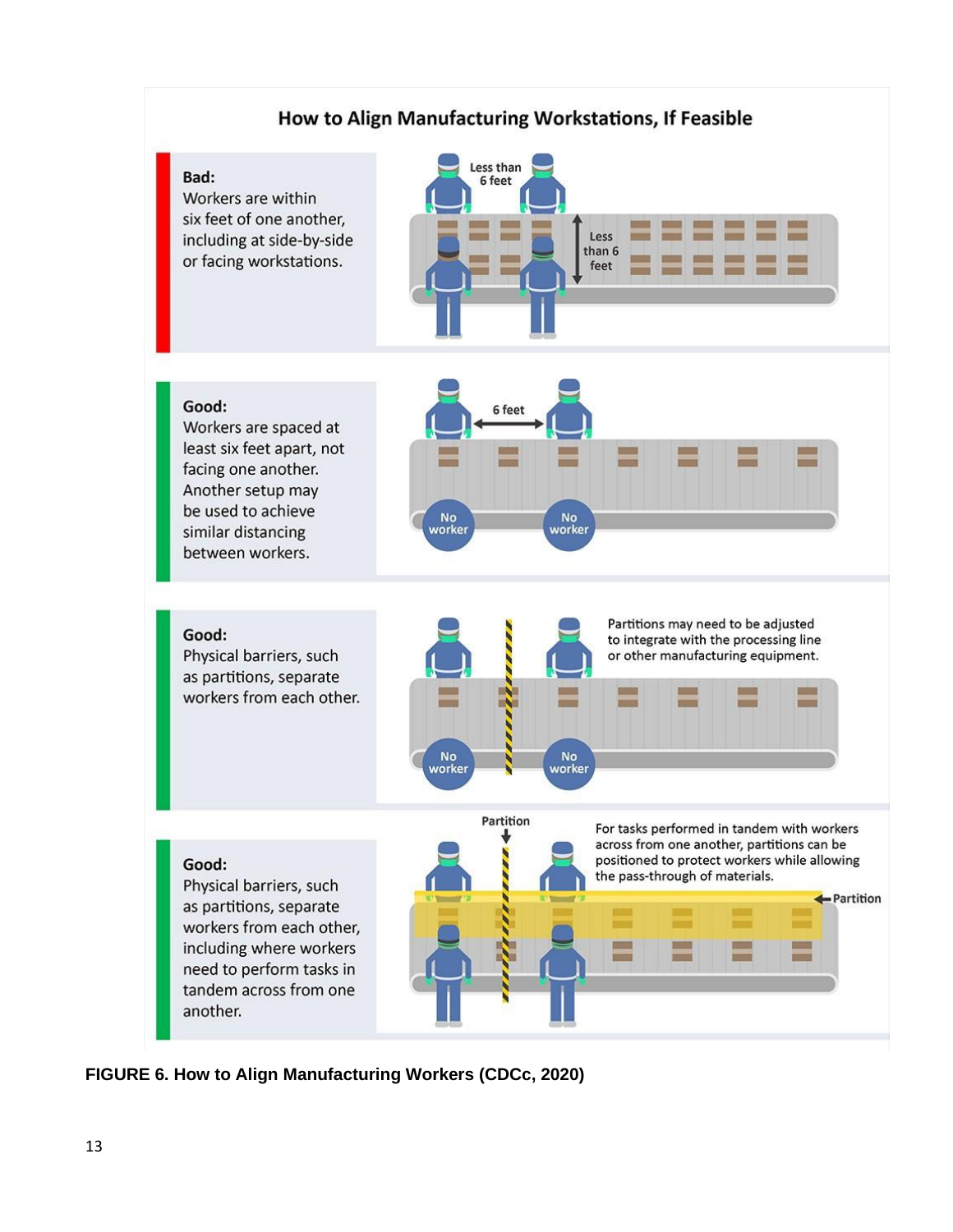

**FIGURE 6. How to Align Manufacturing Workers (CDCc, 2020)**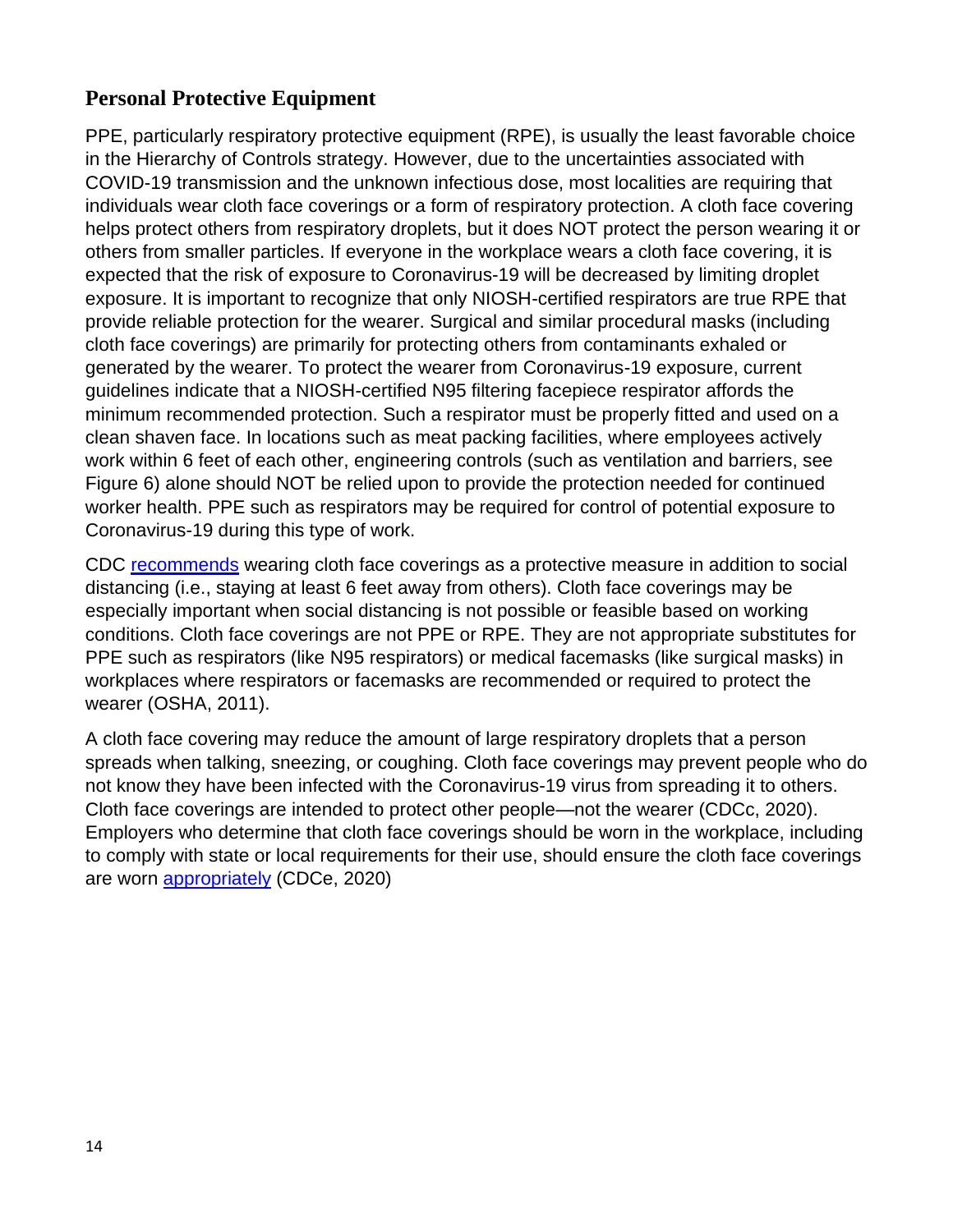### **Personal Protective Equipment**

PPE, particularly respiratory protective equipment (RPE), is usually the least favorable choice in the Hierarchy of Controls strategy. However, due to the uncertainties associated with COVID-19 transmission and the unknown infectious dose, most localities are requiring that individuals wear cloth face coverings or a form of respiratory protection. A cloth face covering helps protect others from respiratory droplets, but it does NOT protect the person wearing it or others from smaller particles. If everyone in the workplace wears a cloth face covering, it is expected that the risk of exposure to Coronavirus-19 will be decreased by limiting droplet exposure. It is important to recognize that only NIOSH-certified respirators are true RPE that provide reliable protection for the wearer. Surgical and similar procedural masks (including cloth face coverings) are primarily for protecting others from contaminants exhaled or generated by the wearer. To protect the wearer from Coronavirus-19 exposure, current guidelines indicate that a NIOSH-certified N95 filtering facepiece respirator affords the minimum recommended protection. Such a respirator must be properly fitted and used on a clean shaven face. In locations such as meat packing facilities, where employees actively work within 6 feet of each other, engineering controls (such as ventilation and barriers, see Figure 6) alone should NOT be relied upon to provide the protection needed for continued worker health. PPE such as respirators may be required for control of potential exposure to Coronavirus-19 during this type of work.

CDC recommends wearing cloth face coverings as a protective measure in addition to social distancing (i.e., staying at least 6 feet away from others). Cloth face coverings may be especially important when social distancing is not possible or feasible based on working conditions. Cloth face coverings are not PPE or RPE. They are not appropriate substitutes for PPE such as respirators (like N95 respirators) or medical facemasks (like surgical masks) in workplaces where respirators or facemasks are recommended or required to protect the wearer (OSHA, 2011).

A cloth face covering may reduce the amount of large respiratory droplets that a person spreads when talking, sneezing, or coughing. Cloth face coverings may prevent people who do not know they have been infected with the Coronavirus-19 virus from spreading it to others. Cloth face coverings are intended to protect other people—not the wearer (CDCc, 2020). Employers who determine that cloth face coverings should be worn in the workplace, including to comply with state or local requirements for their use, should ensure the cloth face coverings are worn appropriately (CDCe, 2020)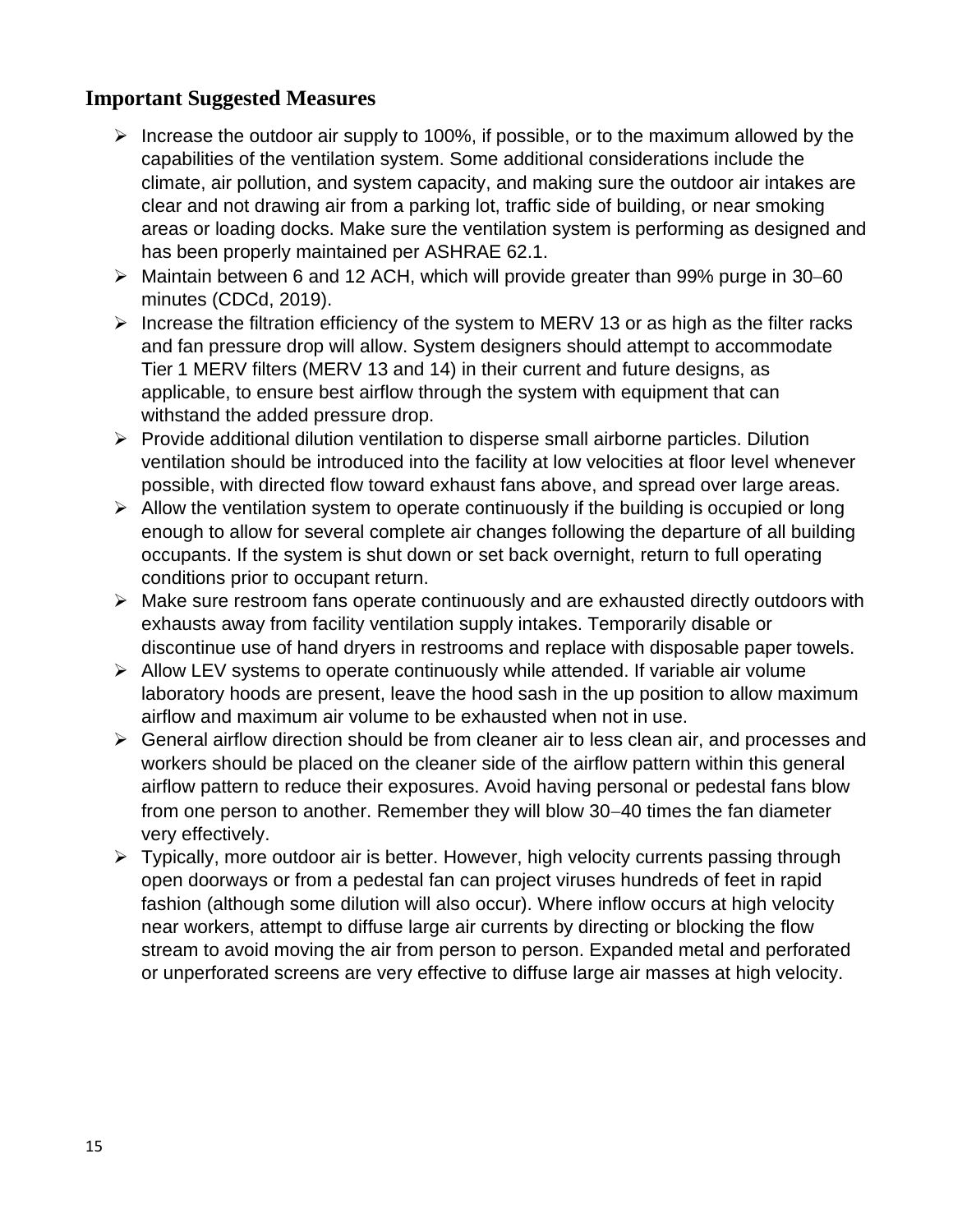#### **Important Suggested Measures**

- $\triangleright$  Increase the outdoor air supply to 100%, if possible, or to the maximum allowed by the capabilities of the ventilation system. Some additional considerations include the climate, air pollution, and system capacity, and making sure the outdoor air intakes are clear and not drawing air from a parking lot, traffic side of building, or near smoking areas or loading docks. Make sure the ventilation system is performing as designed and has been properly maintained per ASHRAE 62.1.
- ➢ Maintain between 6 and 12 ACH, which will provide greater than 99% purge in 30−60 minutes (CDCd, 2019).
- ➢ Increase the filtration efficiency of the system to MERV 13 or as high as the filter racks and fan pressure drop will allow. System designers should attempt to accommodate Tier 1 MERV filters (MERV 13 and 14) in their current and future designs, as applicable, to ensure best airflow through the system with equipment that can withstand the added pressure drop.
- ➢ Provide additional dilution ventilation to disperse small airborne particles. Dilution ventilation should be introduced into the facility at low velocities at floor level whenever possible, with directed flow toward exhaust fans above, and spread over large areas.
- $\triangleright$  Allow the ventilation system to operate continuously if the building is occupied or long enough to allow for several complete air changes following the departure of all building occupants. If the system is shut down or set back overnight, return to full operating conditions prior to occupant return.
- ➢ Make sure restroom fans operate continuously and are exhausted directly outdoors with exhausts away from facility ventilation supply intakes. Temporarily disable or discontinue use of hand dryers in restrooms and replace with disposable paper towels.
- ➢ Allow LEV systems to operate continuously while attended. If variable air volume laboratory hoods are present, leave the hood sash in the up position to allow maximum airflow and maximum air volume to be exhausted when not in use.
- ➢ General airflow direction should be from cleaner air to less clean air, and processes and workers should be placed on the cleaner side of the airflow pattern within this general airflow pattern to reduce their exposures. Avoid having personal or pedestal fans blow from one person to another. Remember they will blow 30−40 times the fan diameter very effectively.
- ➢ Typically, more outdoor air is better. However, high velocity currents passing through open doorways or from a pedestal fan can project viruses hundreds of feet in rapid fashion (although some dilution will also occur). Where inflow occurs at high velocity near workers, attempt to diffuse large air currents by directing or blocking the flow stream to avoid moving the air from person to person. Expanded metal and perforated or unperforated screens are very effective to diffuse large air masses at high velocity.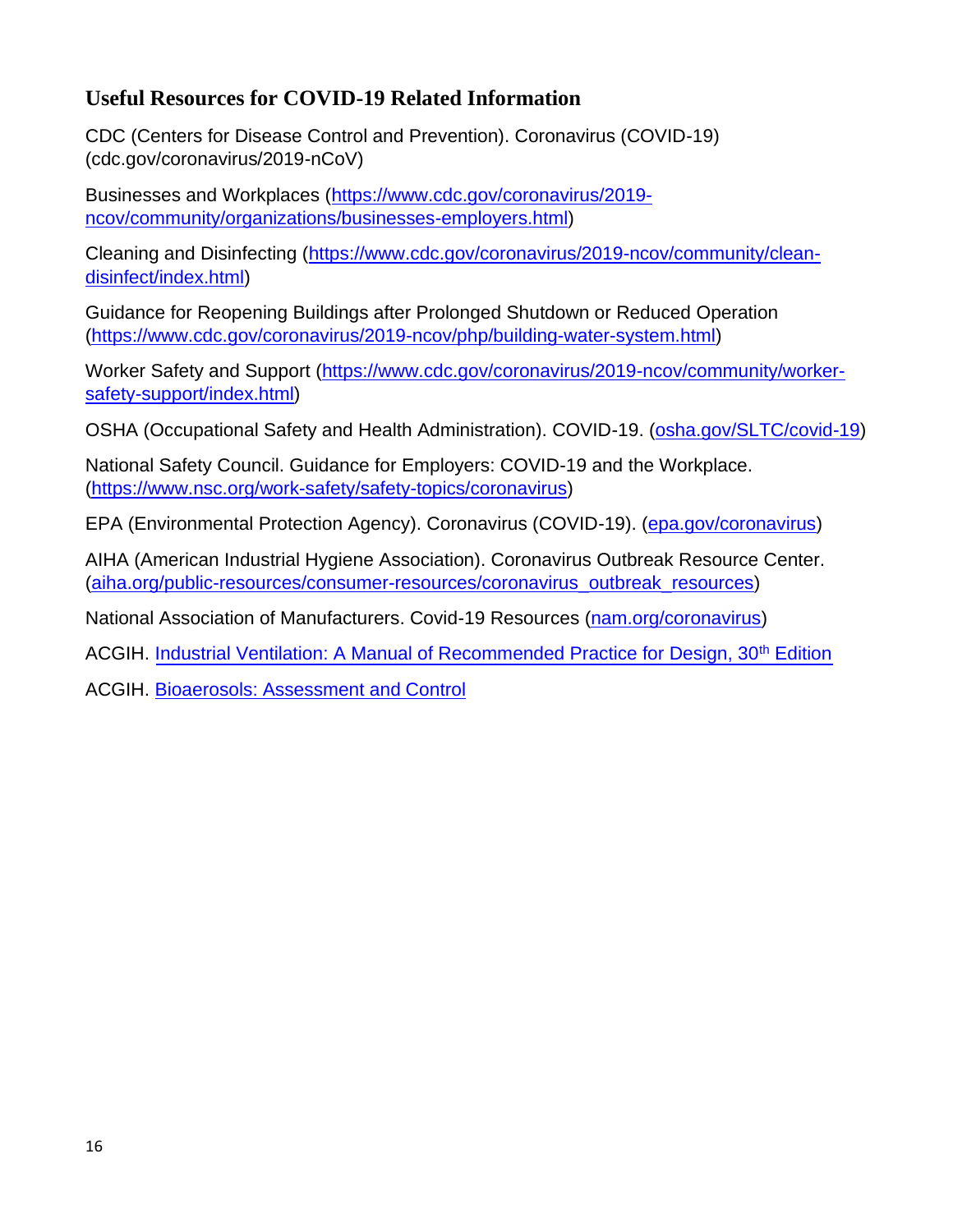#### **Useful Resources for COVID-19 Related Information**

CDC (Centers for Disease Control and Prevention). Coronavirus (COVID-19) (cdc.gov/coronavirus/2019-nCoV)

Businesses and Workplaces (https:/[/www.cdc.gov/coronavirus/2019](http://www.cdc.gov/coronavirus/2019-) ncov/community/organizations/businesses-employers.html)

Cleaning and Disinfecting (https:/[/www.cdc.gov/coronavirus/2019-ncov/community/clean](http://www.cdc.gov/coronavirus/2019-ncov/community/clean-)disinfect/index.html)

Guidance for Reopening Buildings after Prolonged Shutdown or Reduced Operation (https:/[/www.cdc.gov/coronavirus/2019-ncov/php/building-water-system.html\)](http://www.cdc.gov/coronavirus/2019-ncov/php/building-water-system.html))

Worker Safety and Support (https:/[/www.cdc.gov/coronavirus/2019-ncov/community/worker](http://www.cdc.gov/coronavirus/2019-ncov/community/worker-)safety-support/index.html)

OSHA (Occupational Safety and Health Administration). COVID-19. (osha.gov/SLTC/covid-19)

National Safety Council. Guidance for Employers: COVID-19 and the Workplace. (https:/[/www.nsc.org/work-safety/safety-topics/coronavirus\)](http://www.nsc.org/work-safety/safety-topics/coronavirus))

EPA (Environmental Protection Agency). Coronavirus (COVID-19). (epa.gov/coronavirus)

AIHA (American Industrial Hygiene Association). Coronavirus Outbreak Resource Center. (aiha.org/public-resources/consumer-resources/coronavirus\_outbreak\_resources)

National Association of Manufacturers. Covid-19 Resources (nam.org/coronavirus)

ACGIH. Industrial Ventilation: A Manual of Recommended Practice for Design, 30<sup>th</sup> Edition

ACGIH. Bioaerosols: Assessment and Control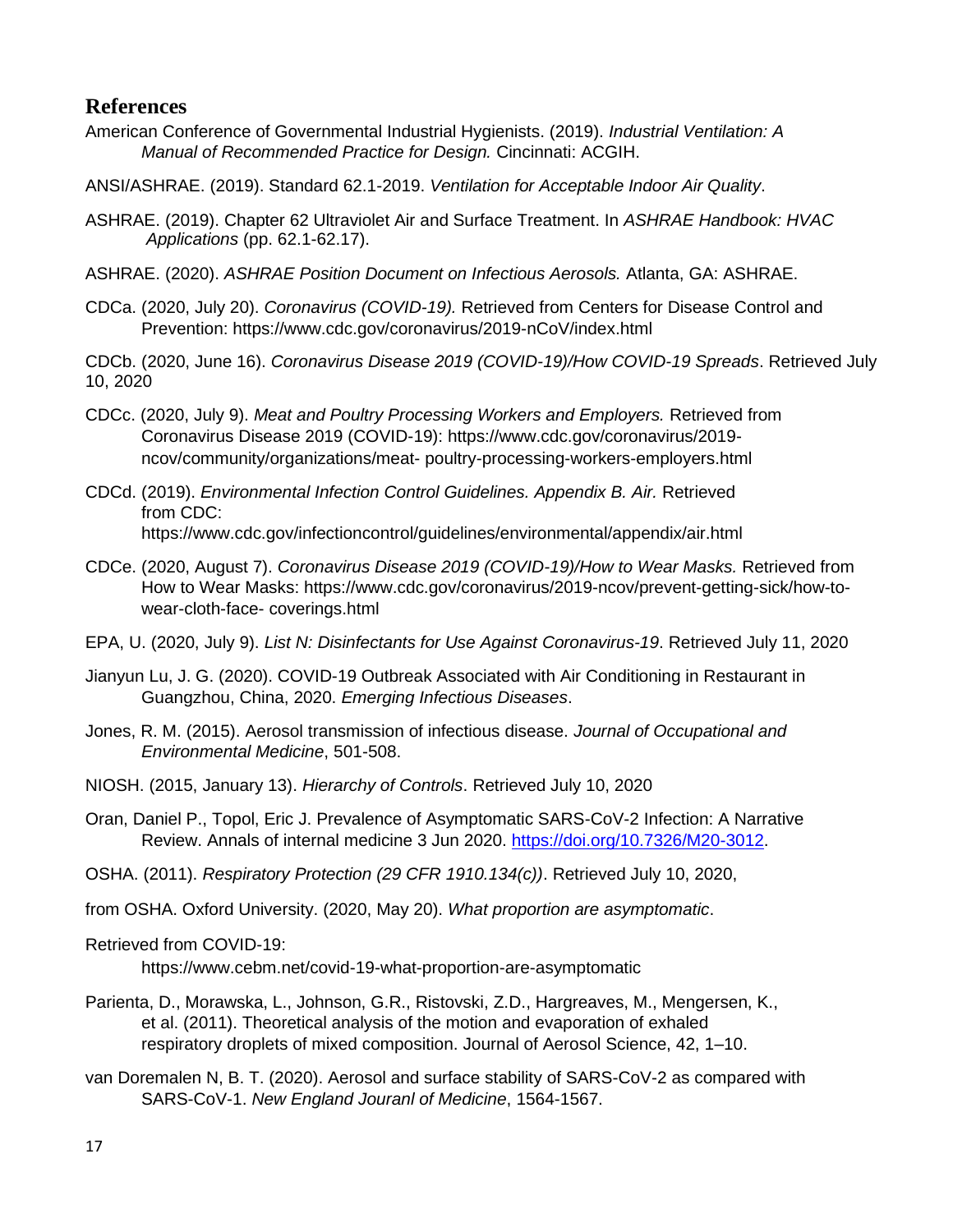#### **References**

- American Conference of Governmental Industrial Hygienists. (2019). *Industrial Ventilation: A Manual of Recommended Practice for Design.* Cincinnati: ACGIH.
- ANSI/ASHRAE. (2019). Standard 62.1-2019. *Ventilation for Acceptable Indoor Air Quality*.
- ASHRAE. (2019). Chapter 62 Ultraviolet Air and Surface Treatment. In *ASHRAE Handbook: HVAC Applications* (pp. 62.1-62.17).
- ASHRAE. (2020). *ASHRAE Position Document on Infectious Aerosols.* Atlanta, GA: ASHRAE.
- CDCa. (2020, July 20). *Coronavirus (COVID-19).* Retrieved from Centers for Disease Control and Prevention: [https://ww](http://www.cdc.gov/coronavirus/2019-nCoV/index.html)w.cdc.[gov/coronavirus/2019-nCoV/index.html](http://www.cdc.gov/coronavirus/2019-nCoV/index.html)
- CDCb. (2020, June 16). *Coronavirus Disease 2019 (COVID-19)/How COVID-19 Spreads*. Retrieved July 10, 2020
- CDCc. (2020, July 9). *Meat and Poultry Processing Workers and Employers.* Retrieved from Coronavirus Disease 2019 (COVID-19): https:[//www.cdc.gov/coronavirus/2019](http://www.cdc.gov/coronavirus/2019-ncov/community/organizations/meat-) [ncov/community/organizations/meat-](http://www.cdc.gov/coronavirus/2019-ncov/community/organizations/meat-) poultry-processing-workers-employers.html
- CDCd. (2019). *Environmental Infection Control Guidelines. Appendix B. Air.* Retrieved from CDC: [https://ww](http://www.cdc.gov/infectioncontrol/guidelines/environmental/appendix/air.html)w.cdc.[gov/infectioncontrol/guidelines/environmental/appendix/air.html](http://www.cdc.gov/infectioncontrol/guidelines/environmental/appendix/air.html)
- CDCe. (2020, August 7). *Coronavirus Disease 2019 (COVID-19)/How to Wear Masks.* Retrieved from How to Wear Masks: https[://www.cdc.gov/coronavirus/2019-ncov/prevent-getting-sick/how-to](http://www.cdc.gov/coronavirus/2019-ncov/prevent-getting-sick/how-to-wear-cloth-face-)[wear-cloth-face-](http://www.cdc.gov/coronavirus/2019-ncov/prevent-getting-sick/how-to-wear-cloth-face-) coverings.html
- EPA, U. (2020, July 9). *List N: Disinfectants for Use Against Coronavirus-19*. Retrieved July 11, 2020
- Jianyun Lu, J. G. (2020). COVID-19 Outbreak Associated with Air Conditioning in Restaurant in Guangzhou, China, 2020. *Emerging Infectious Diseases*.
- Jones, R. M. (2015). Aerosol transmission of infectious disease. *Journal of Occupational and Environmental Medicine*, 501-508.
- NIOSH. (2015, January 13). *Hierarchy of Controls*. Retrieved July 10, 2020
- Oran, Daniel P., Topol, Eric J. Prevalence of Asymptomatic SARS-CoV-2 Infection: A Narrative Review. Annals of internal medicine 3 Jun 2020. https://doi.org/10.7326/M20-3012.
- OSHA. (2011). *Respiratory Protection (29 CFR 1910.134(c))*. Retrieved July 10, 2020,
- from OSHA. Oxford University. (2020, May 20). *What proportion are asymptomatic*.
- Retrieved from COVID-19:

[https://ww](http://www.cebm.net/covid-19-what-proportion-are-asymptomatic)w.cebm[.net/covid-19-what-proportion-are-asymptomatic](http://www.cebm.net/covid-19-what-proportion-are-asymptomatic)

- Parienta, D., Morawska, L., Johnson, G.R., Ristovski, Z.D., Hargreaves, M., Mengersen, K., et al. (2011). Theoretical analysis of the motion and evaporation of exhaled respiratory droplets of mixed composition. Journal of Aerosol Science, 42, 1–10.
- van Doremalen N, B. T. (2020). Aerosol and surface stability of SARS-CoV-2 as compared with SARS-CoV-1. *New England Jouranl of Medicine*, 1564-1567.